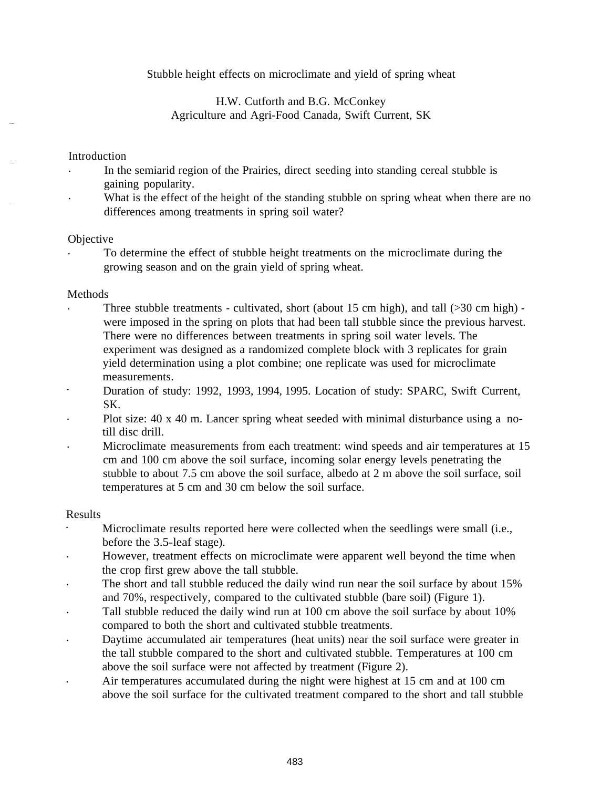Stubble height effects on microclimate and yield of spring wheat

H.W. Cutforth and B.G. McConkey Agriculture and Agri-Food Canada, Swift Current, SK

# Introduction

- . In the semiarid region of the Prairies, direct seeding into standing cereal stubble is gaining popularity.<br>What is the effect of the height of the standing stubble on spring wheat when there are no
- differences among treatments in spring soil water?

### **Objective**

. To determine the effect of stubble height treatments on the microclimate during the growing season and on the grain yield of spring wheat.

# Methods

- Three stubble treatments cultivated, short (about 15 cm high), and tall (>30 cm high) were imposed in the spring on plots that had been tall stubble since the previous harvest. There were no differences between treatments in spring soil water levels. The experiment was designed as a randomized complete block with 3 replicates for grain yield determination using a plot combine; one replicate was used for microclimate measurements.
- Duration of study: 1992, 1993, 1994, 1995. Location of study: SPARC, Swift Current, SK.
- . Plot size: 40 x 40 m. Lancer spring wheat seeded with minimal disturbance using a notill disc drill.<br>Microclimate measurements from each treatment: wind speeds and air temperatures at 15
- cm and 100 cm above the soil surface, incoming solar energy levels penetrating the stubble to about 7.5 cm above the soil surface, albedo at 2 m above the soil surface, soil temperatures at 5 cm and 30 cm below the soil surface.

### Results

- Microclimate results reported here were collected when the seedlings were small (i.e., before the 3.5-leaf stage).<br>However, treatment effects on microclimate were apparent well beyond the time when
- the crop first grew above the tall stubble.
- . The short and tall stubble reduced the daily wind run near the soil surface by about 15% and 70%, respectively, compared to the cultivated stubble (bare soil) (Figure 1).<br>Tall stubble reduced the daily wind run at 100 cm above the soil surface by about 10%
- compared to both the short and cultivated stubble treatments.<br>Daytime accumulated air temperatures (heat units) near the soil surface were greater in
- the tall stubble compared to the short and cultivated stubble. Temperatures at 100 cm above the soil surface were not affected by treatment (Figure 2).
- . Air temperatures accumulated during the night were highest at 15 cm and at 100 cm above the soil surface for the cultivated treatment compared to the short and tall stubble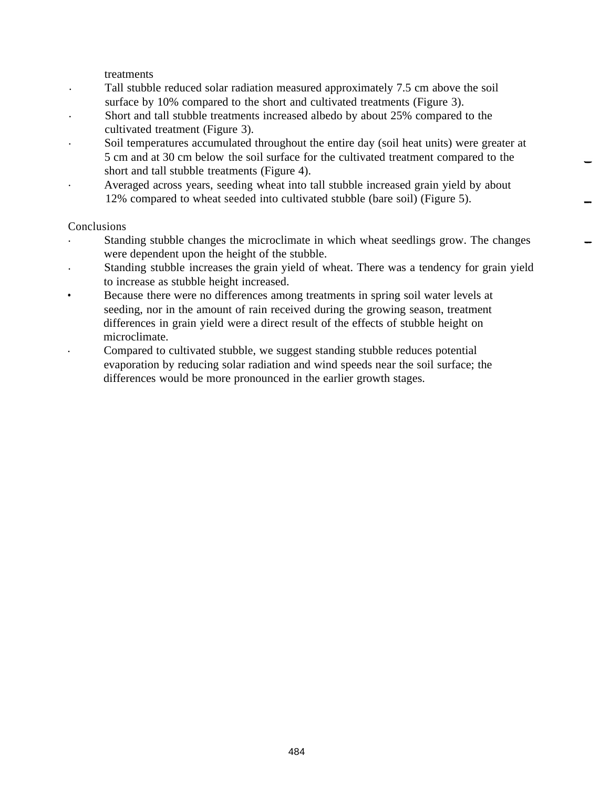treatments

- . Tall stubble reduced solar radiation measured approximately 7.5 cm above the soil surface by 10% compared to the short and cultivated treatments (Figure 3).
- . Short and tall stubble treatments increased albedo by about 25% compared to the
- cultivated treatment (Figure 3).<br>Soil temperatures accumulated throughout the entire day (soil heat units) were greater at 5 cm and at 30 cm below the soil surface for the cultivated treatment compared to the short and tall stubble treatments (Figure 4).
- . Averaged across years, seeding wheat into tall stubble increased grain yield by about 12% compared to wheat seeded into cultivated stubble (bare soil) (Figure 5).

# Conclusions

- . Standing stubble changes the microclimate in which wheat seedlings grow. The changes were dependent upon the height of the stubble.
- . Standing stubble increases the grain yield of wheat. There was a tendency for grain yield to increase as stubble height increased.
- **Example 1** Because there were no differences among treatments in spring soil water levels at seeding, nor in the amount of rain received during the growing season, treatment differences in grain yield were a direct result of the effects of stubble height on microclimate.
- . Compared to cultivated stubble, we suggest standing stubble reduces potential evaporation by reducing solar radiation and wind speeds near the soil surface; the differences would be more pronounced in the earlier growth stages.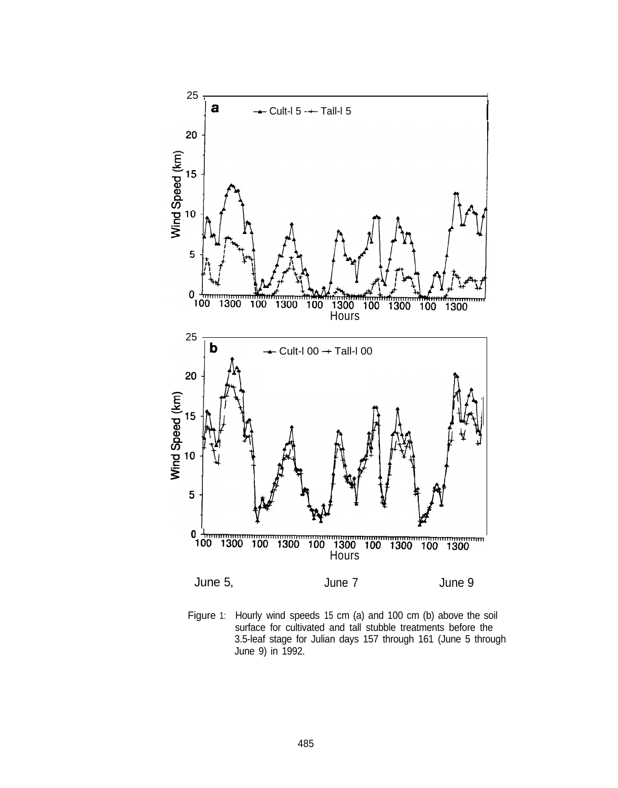

Figure 1: Hourly wind speeds 15 cm (a) and 100 cm (b) above the soil surface for cultivated and tall stubble treatments before the 3.5-leaf stage for Julian days 157 through 161 (June 5 through June 9) in 1992.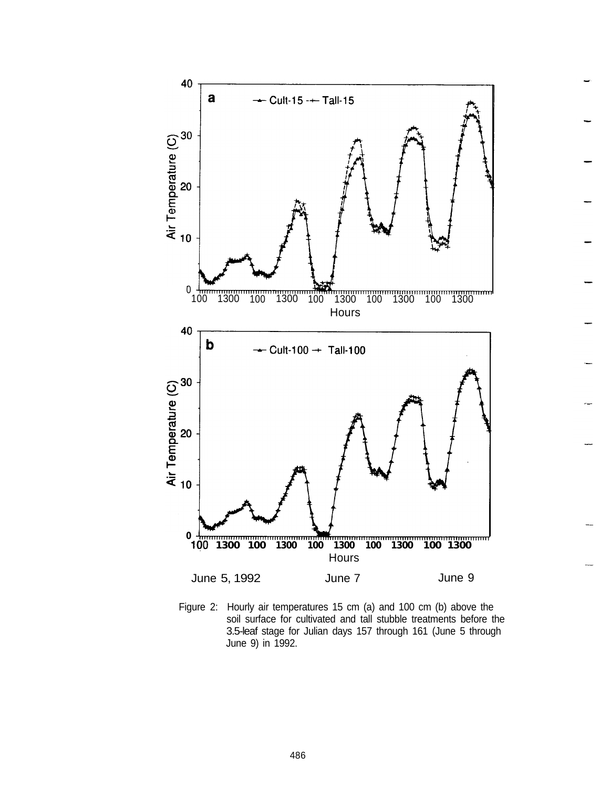

Figure 2: Hourly air temperatures 15 cm (a) and 100 cm (b) above the soil surface for cultivated and tall stubble treatments before the 3.5-leaf stage for Julian days 157 through 161 (June 5 through June 9) in 1992.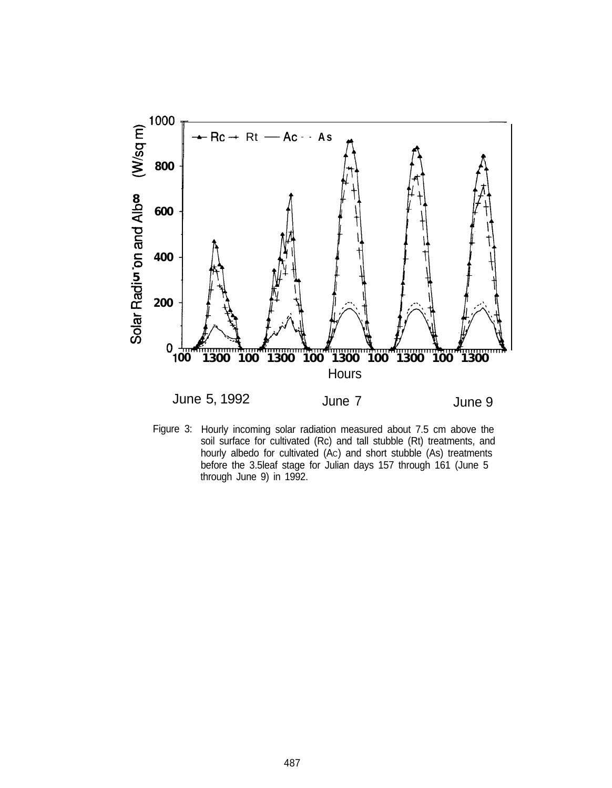

Figure 3: Hourly incoming solar radiation measured about 7.5 cm above the soil surface for cultivated (Rc) and tall stubble (Rt) treatments, and hourly albedo for cultivated (Ac) and short stubble (As) treatments before the 3.5leaf stage for Julian days 157 through 161 (June 5 through June 9) in 1992.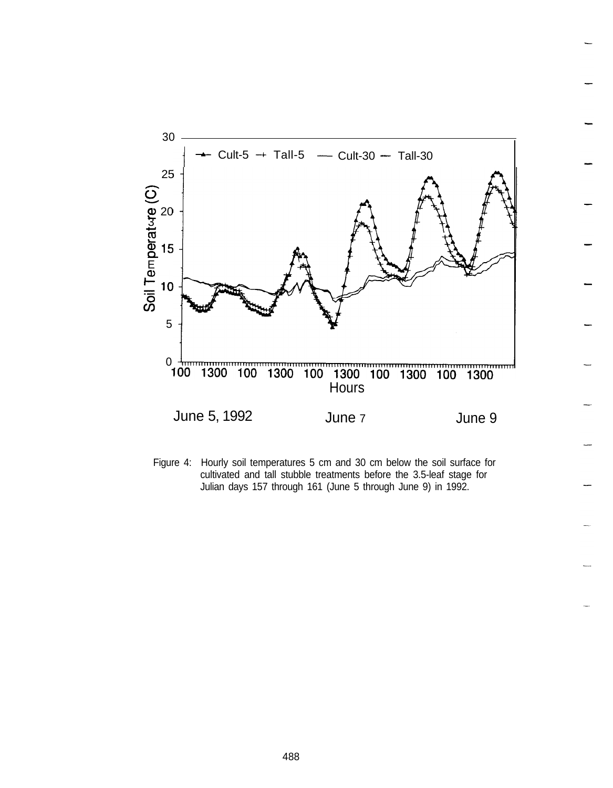

Figure 4: Hourly soil temperatures 5 cm and 30 cm below the soil surface for cultivated and tall stubble treatments before the 3.5-leaf stage for Julian days 157 through 161 (June 5 through June 9) in 1992.